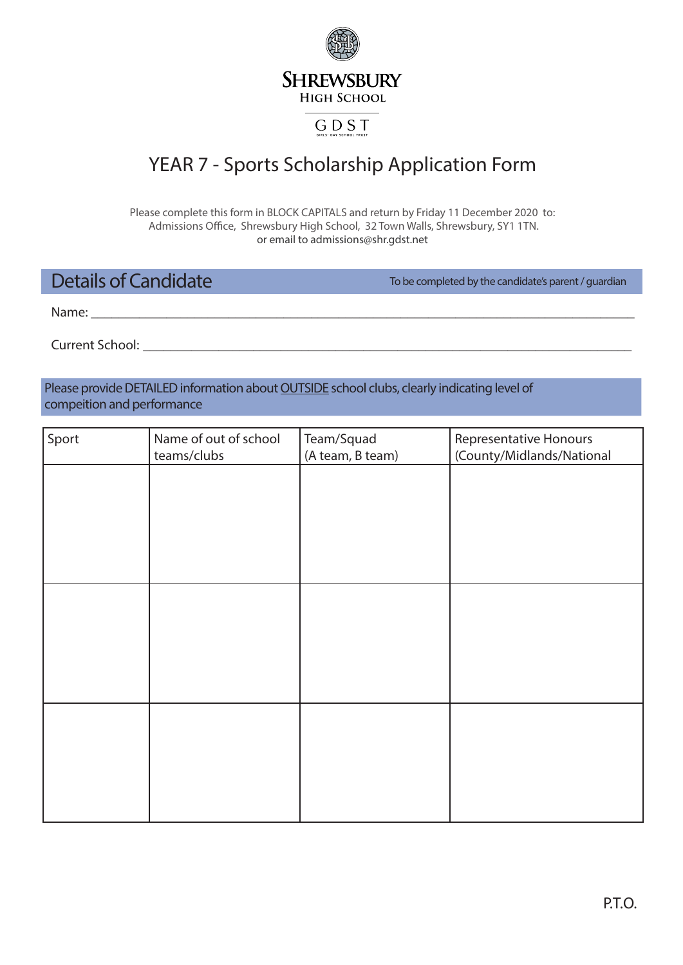**SHREWSBURY HIGH SCHOOL** 

## GDST

# YEAR 7 - Sports Scholarship Application Form

Please complete this form in BLOCK CAPITALS and return by Friday 11 December 2020 to: Admissions Office, Shrewsbury High School, 32 Town Walls, Shrewsbury, SY1 1TN. or email to admissions@shr.gdst.net

## Details of Candidate

To be completed by the candidate's parent / guardian

Name: **\_\_\_\_\_\_\_\_\_\_\_\_\_\_\_\_\_\_\_\_\_\_\_\_\_\_\_\_\_\_\_\_\_\_\_\_\_\_\_\_\_\_\_\_\_\_\_\_\_\_\_\_\_\_\_\_\_\_\_\_\_\_\_\_\_\_\_\_\_\_\_\_\_\_\_\_\_\_\_**

Current School: **\_\_\_\_\_\_\_\_\_\_\_\_\_\_\_\_\_\_\_\_\_\_\_\_\_\_\_\_\_\_\_\_\_\_\_\_\_\_\_\_\_\_\_\_\_\_\_\_\_\_\_\_\_\_\_\_\_\_\_\_\_\_\_\_\_\_\_\_\_\_\_**

Please provide DETAILED information about **OUTSIDE** school clubs, clearly indicating level of compeition and performance

| Sport | Name of out of school<br>teams/clubs | Team/Squad<br>(A team, B team) | <b>Representative Honours</b><br>(County/Midlands/National |
|-------|--------------------------------------|--------------------------------|------------------------------------------------------------|
|       |                                      |                                |                                                            |
|       |                                      |                                |                                                            |
|       |                                      |                                |                                                            |
|       |                                      |                                |                                                            |
|       |                                      |                                |                                                            |
|       |                                      |                                |                                                            |
|       |                                      |                                |                                                            |
|       |                                      |                                |                                                            |
|       |                                      |                                |                                                            |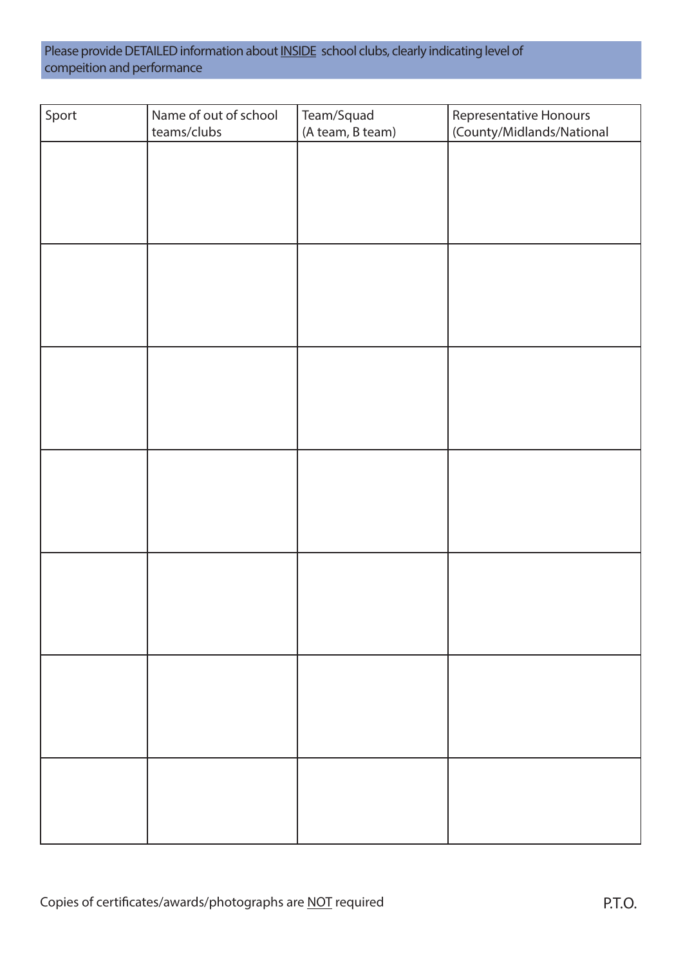Please provide DETAILED information about **INSIDE** school clubs, clearly indicating level of compeition and performance

| Sport | Name of out of school<br>teams/clubs | Team/Squad<br>(A team, B team) | Representative Honours<br>(County/Midlands/National |
|-------|--------------------------------------|--------------------------------|-----------------------------------------------------|
|       |                                      |                                |                                                     |
|       |                                      |                                |                                                     |
|       |                                      |                                |                                                     |
|       |                                      |                                |                                                     |
|       |                                      |                                |                                                     |
|       |                                      |                                |                                                     |
|       |                                      |                                |                                                     |
|       |                                      |                                |                                                     |
|       |                                      |                                |                                                     |
|       |                                      |                                |                                                     |
|       |                                      |                                |                                                     |
|       |                                      |                                |                                                     |
|       |                                      |                                |                                                     |
|       |                                      |                                |                                                     |
|       |                                      |                                |                                                     |
|       |                                      |                                |                                                     |
|       |                                      |                                |                                                     |
|       |                                      |                                |                                                     |
|       |                                      |                                |                                                     |
|       |                                      |                                |                                                     |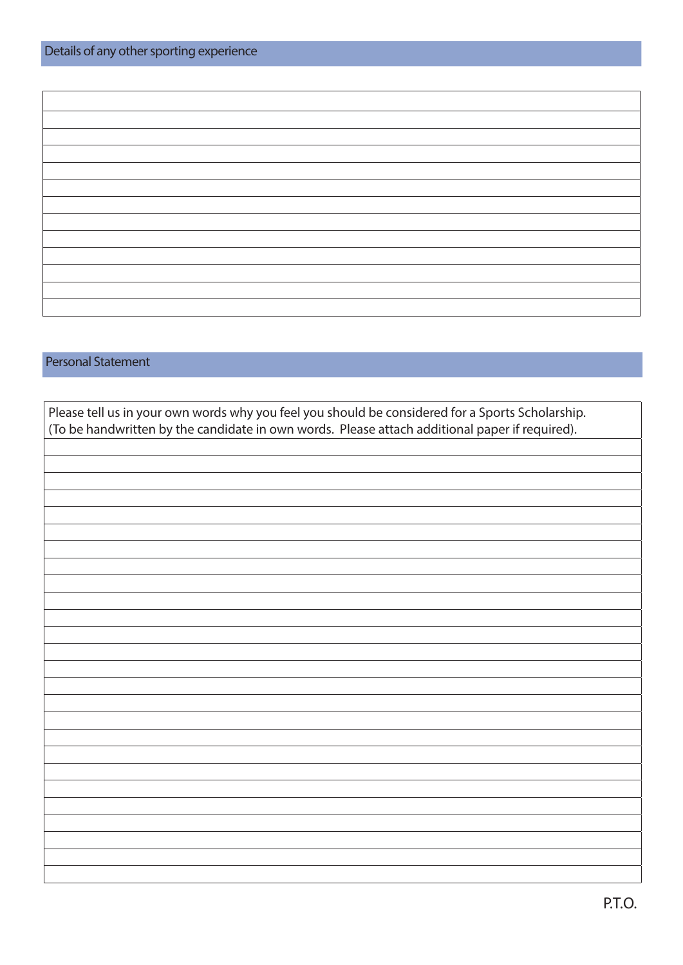#### Personal Statement

| Please tell us in your own words why you feel you should be considered for a Sports Scholarship. |
|--------------------------------------------------------------------------------------------------|
| (To be handwritten by the candidate in own words. Please attach additional paper if required).   |
|                                                                                                  |
|                                                                                                  |
|                                                                                                  |
|                                                                                                  |
|                                                                                                  |
|                                                                                                  |
|                                                                                                  |
|                                                                                                  |
|                                                                                                  |
|                                                                                                  |
|                                                                                                  |
|                                                                                                  |
|                                                                                                  |
|                                                                                                  |
|                                                                                                  |
|                                                                                                  |
|                                                                                                  |
|                                                                                                  |
|                                                                                                  |
|                                                                                                  |
|                                                                                                  |
|                                                                                                  |
|                                                                                                  |
|                                                                                                  |
|                                                                                                  |
|                                                                                                  |
|                                                                                                  |
|                                                                                                  |
|                                                                                                  |
|                                                                                                  |
|                                                                                                  |
|                                                                                                  |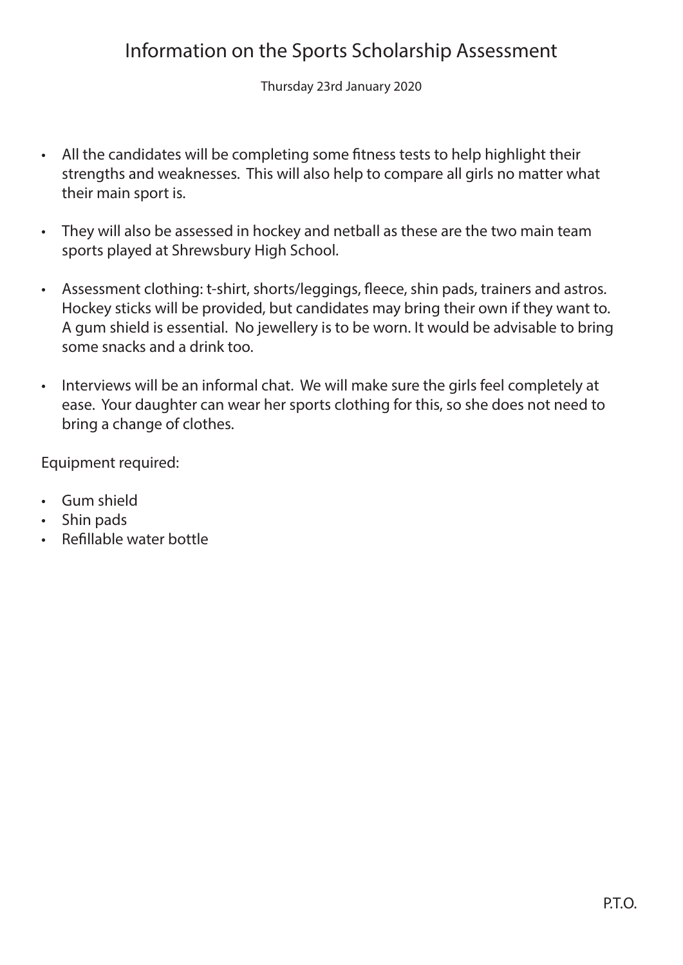# Information on the Sports Scholarship Assessment

Thursday 23rd January 2020

- All the candidates will be completing some fitness tests to help highlight their strengths and weaknesses. This will also help to compare all girls no matter what their main sport is.
- They will also be assessed in hockey and netball as these are the two main team sports played at Shrewsbury High School.
- Assessment clothing: t-shirt, shorts/leggings, fleece, shin pads, trainers and astros. Hockey sticks will be provided, but candidates may bring their own if they want to. A gum shield is essential. No jewellery is to be worn. It would be advisable to bring some snacks and a drink too.
- Interviews will be an informal chat. We will make sure the girls feel completely at ease. Your daughter can wear her sports clothing for this, so she does not need to bring a change of clothes.

Equipment required:

- Gum shield
- Shin pads
- Refillable water bottle